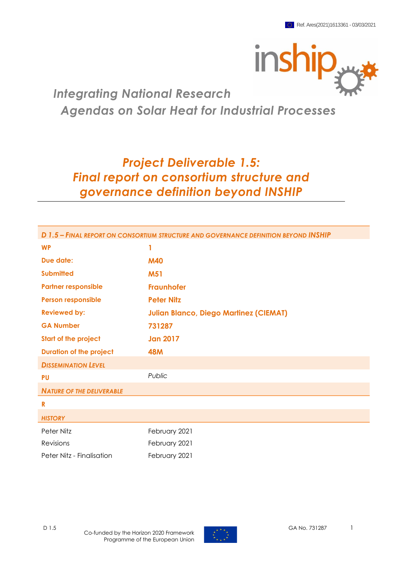

# *Integrating National Research Agendas on Solar Heat for Industrial Processes*

# *Project Deliverable 1.5: Final report on consortium structure and governance definition beyond INSHIP*

| D 1.5 - FINAL REPORT ON CONSORTIUM STRUCTURE AND GOVERNANCE DEFINITION BEYOND INSHIP |                                               |  |  |  |
|--------------------------------------------------------------------------------------|-----------------------------------------------|--|--|--|
| <b>WP</b>                                                                            | 1                                             |  |  |  |
| <b>Due date:</b>                                                                     | <b>M40</b>                                    |  |  |  |
| <b>Submitted</b>                                                                     | <b>M51</b>                                    |  |  |  |
| <b>Partner responsible</b>                                                           | <b>Fraunhofer</b>                             |  |  |  |
| <b>Person responsible</b>                                                            | <b>Peter Nitz</b>                             |  |  |  |
| <b>Reviewed by:</b>                                                                  | <b>Julian Blanco, Diego Martinez (CIEMAT)</b> |  |  |  |
| <b>GA Number</b>                                                                     | 731287                                        |  |  |  |
| <b>Start of the project</b>                                                          | <b>Jan 2017</b>                               |  |  |  |
| <b>Duration of the project</b>                                                       | <b>48M</b>                                    |  |  |  |
| <b>DISSEMINATION LEVEL</b>                                                           |                                               |  |  |  |
| <b>PU</b>                                                                            | Public                                        |  |  |  |
| <b>NATURE OF THE DELIVERABLE</b>                                                     |                                               |  |  |  |
| R                                                                                    |                                               |  |  |  |
| <b>HISTORY</b>                                                                       |                                               |  |  |  |
| Peter Nitz                                                                           | February 2021                                 |  |  |  |
| Revisions                                                                            | February 2021                                 |  |  |  |
| Peter Nitz - Finalisation                                                            | February 2021                                 |  |  |  |

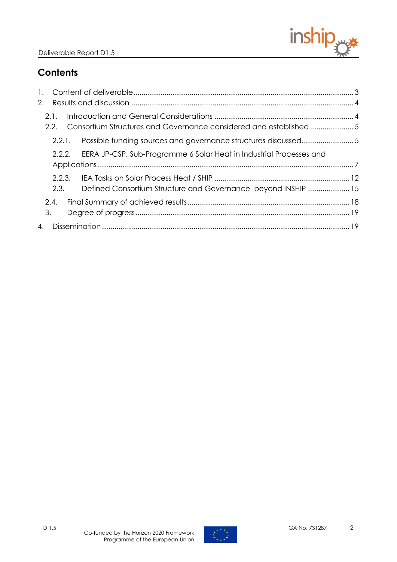

# **Contents**

| 2. |              |      |                                                                            |  |
|----|--------------|------|----------------------------------------------------------------------------|--|
|    | 2.1.<br>2.2. |      | Consortium Structures and Governance considered and established5           |  |
|    |              |      | 2.2.1. Possible funding sources and governance structures discussed5       |  |
|    |              |      | 2.2.2. EERA JP-CSP, Sub-Programme 6 Solar Heat in Industrial Processes and |  |
|    |              |      |                                                                            |  |
|    |              | 2.3. | Defined Consortium Structure and Governance beyond INSHIP  15              |  |
|    | 2.4.         |      |                                                                            |  |
|    | 3.           |      |                                                                            |  |
|    |              |      |                                                                            |  |

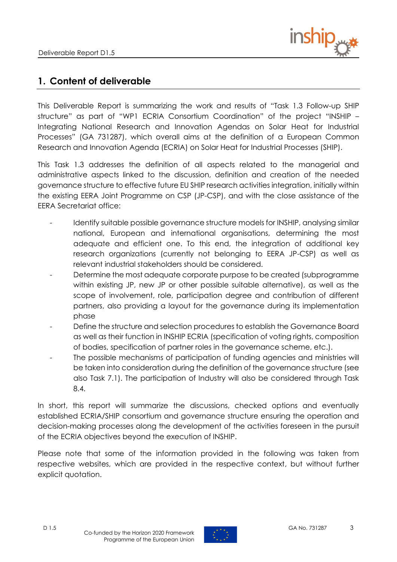

# <span id="page-2-0"></span>**1. Content of deliverable**

This Deliverable Report is summarizing the work and results of "Task 1.3 Follow-up SHIP structure" as part of "WP1 ECRIA Consortium Coordination" of the project "INSHIP – Integrating National Research and Innovation Agendas on Solar Heat for Industrial Processes" (GA 731287), which overall aims at the definition of a European Common Research and Innovation Agenda (ECRIA) on Solar Heat for Industrial Processes (SHIP).

This Task 1.3 addresses the definition of all aspects related to the managerial and administrative aspects linked to the discussion, definition and creation of the needed governance structure to effective future EU SHIP research activities integration, initially within the existing EERA Joint Programme on CSP (JP-CSP), and with the close assistance of the EERA Secretariat office:

- Identify suitable possible governance structure models for INSHIP, analysing similar national, European and international organisations, determining the most adequate and efficient one. To this end, the integration of additional key research organizations (currently not belonging to EERA JP-CSP) as well as relevant industrial stakeholders should be considered.
- Determine the most adequate corporate purpose to be created (subprogramme within existing JP, new JP or other possible suitable alternative), as well as the scope of involvement, role, participation degree and contribution of different partners, also providing a layout for the governance during its implementation phase
- Define the structure and selection procedures to establish the Governance Board as well as their function in INSHIP ECRIA (specification of voting rights, composition of bodies, specification of partner roles in the governance scheme, etc.).
- The possible mechanisms of participation of funding agencies and ministries will be taken into consideration during the definition of the governance structure (see also Task 7.1). The participation of Industry will also be considered through Task 8.4.

In short, this report will summarize the discussions, checked options and eventually established ECRIA/SHIP consortium and governance structure ensuring the operation and decision-making processes along the development of the activities foreseen in the pursuit of the ECRIA objectives beyond the execution of INSHIP.

Please note that some of the information provided in the following was taken from respective websites, which are provided in the respective context, but without further explicit quotation.

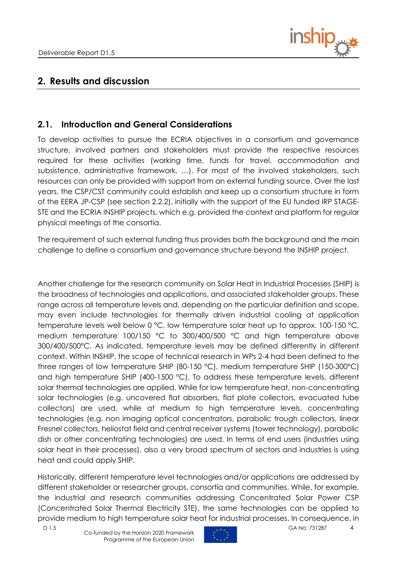

# <span id="page-3-0"></span>**2. Results and discussion**

## <span id="page-3-1"></span>**2.1. Introduction and General Considerations**

To develop activities to pursue the ECRIA objectives in a consortium and governance structure, involved partners and stakeholders must provide the respective resources required for these activities (working time, funds for travel, accommodation and subsistence, administrative framework, …). For most of the involved stakeholders, such resources can only be provided with support from an external funding source. Over the last years, the CSP/CST community could establish and keep up a consortium structure in form of the EERA JP-CSP (see section 2.2.2), initially with the support of the EU funded IRP STAGE-STE and the ECRIA INSHIP projects, which e.g. provided the context and platform for regular physical meetings of the consortia.

The requirement of such external funding thus provides both the background and the main challenge to define a consortium and governance structure beyond the INSHIP project.

Another challenge for the research community on Solar Heat in Industrial Processes (SHIP) is the broadness of technologies and applications, and associated stakeholder groups. These range across all temperature levels and, depending on the particular definition and scope, may even include technologies for thermally driven industrial cooling at application temperature levels well below 0 °C, low temperature solar heat up to approx. 100-150 °C, medium temperature 100/150 °C to 300/400/500 °C and high temperature above 300/400/500°C. As indicated, temperature levels may be defined differently in different context. Within INSHIP, the scope of technical research in WPs 2-4 had been defined to the three ranges of low temperature SHIP (80-150 °C), medium temperature SHIP (150-300°C) and high temperature SHIP (400-1500 °C). To address these temperature levels, different solar thermal technologies are applied. While for low temperature heat, non-concentrating solar technologies (e.g. uncovered flat absorbers, flat plate collectors, evacuated tube collectors) are used, while at medium to high temperature levels, concentrating technologies (e.g. non imaging optical concentrators, parabolic trough collectors, linear Fresnel collectors, heliostat field and central receiver systems (tower technology), parabolic dish or other concentrating technologies) are used. In terms of end users (industries using solar heat in their processes), also a very broad spectrum of sectors and industries is using heat and could apply SHIP.

Historically, different temperature level technologies and/or applications are addressed by different stakeholder or researcher groups, consortia and communities. While, for example, the industrial and research communities addressing Concentrated Solar Power CSP (Concentrated Solar Thermal Electricity STE), the same technologies can be applied to provide medium to high temperature solar heat for industrial processes. In consequence, in

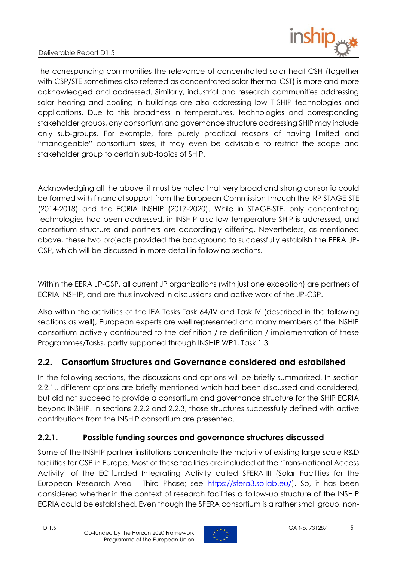

the corresponding communities the relevance of concentrated solar heat CSH (together with CSP/STE sometimes also referred as concentrated solar thermal CST) is more and more acknowledged and addressed. Similarly, industrial and research communities addressing solar heating and cooling in buildings are also addressing low T SHIP technologies and applications. Due to this broadness in temperatures, technologies and corresponding stakeholder groups, any consortium and governance structure addressing SHIP may include only sub-groups. For example, fore purely practical reasons of having limited and "manageable" consortium sizes, it may even be advisable to restrict the scope and stakeholder group to certain sub-topics of SHIP.

Acknowledging all the above, it must be noted that very broad and strong consortia could be formed with financial support from the European Commission through the IRP STAGE-STE (2014-2018) and the ECRIA INSHIP (2017-2020). While in STAGE-STE, only concentrating technologies had been addressed, in INSHIP also low temperature SHIP is addressed, and consortium structure and partners are accordingly differing. Nevertheless, as mentioned above, these two projects provided the background to successfully establish the EERA JP-CSP, which will be discussed in more detail in following sections.

Within the EERA JP-CSP, all current JP organizations (with just one exception) are partners of ECRIA INSHIP, and are thus involved in discussions and active work of the JP-CSP.

Also within the activities of the IEA Tasks Task 64/IV and Task IV (described in the following sections as well), European experts are well represented and many members of the INSHIP consortium actively contributed to the definition / re-definition / implementation of these Programmes/Tasks, partly supported through INSHIP WP1, Task 1.3.

## <span id="page-4-0"></span>**2.2. Consortium Structures and Governance considered and established**

In the following sections, the discussions and options will be briefly summarized. In section 2.2.1., different options are briefly mentioned which had been discussed and considered, but did not succeed to provide a consortium and governance structure for the SHIP ECRIA beyond INSHIP. In sections 2.2.2 and 2.2.3, those structures successfully defined with active contributions from the INSHIP consortium are presented.

## <span id="page-4-1"></span>**2.2.1. Possible funding sources and governance structures discussed**

Some of the INSHIP partner institutions concentrate the majority of existing large-scale R&D facilities for CSP in Europe. Most of these facilities are included at the 'Trans-national Access Activity' of the EC-funded Integrating Activity called SFERA-III (Solar Facilities for the European Research Area - Third Phase; see [https://sfera3.sollab.eu/\)](https://sfera3.sollab.eu/). So, it has been considered whether in the context of research facilities a follow-up structure of the INSHIP ECRIA could be established. Even though the SFERA consortium is a rather small group, non-

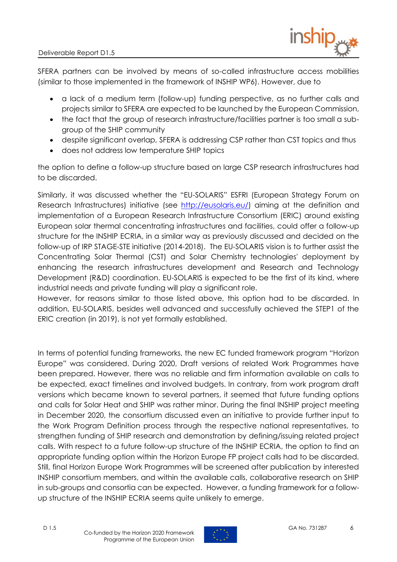

SFERA partners can be involved by means of so-called infrastructure access mobilities (similar to those implemented in the framework of INSHIP WP6). However, due to

- a lack of a medium term (follow-up) funding perspective, as no further calls and projects similar to SFERA are expected to be launched by the European Commission,
- the fact that the group of research infrastructure/facilities partner is too small a subgroup of the SHIP community
- despite significant overlap, SFERA is addressing CSP rather than CST topics and thus
- does not address low temperature SHIP topics

the option to define a follow-up structure based on large CSP research infrastructures had to be discarded.

Similarly, it was discussed whether the "EU-SOLARIS" ESFRI (European Strategy Forum on Research Infrastructures) initiative (see [http://eusolaris.eu/\)](http://eusolaris.eu/) aiming at the definition and implementation of a European Research Infrastructure Consortium (ERIC) around existing European solar thermal concentrating infrastructures and facilities, could offer a follow-up structure for the INSHIP ECRIA, in a similar way as previously discussed and decided on the follow-up of IRP STAGE-STE initiative (2014-2018). The EU-SOLARIS vision is to further assist the Concentrating Solar Thermal (CST) and Solar Chemistry technologies' deployment by enhancing the research infrastructures development and Research and Technology Development (R&D) coordination. EU-SOLARIS is expected to be the first of its kind, where industrial needs and private funding will play a significant role.

However, for reasons similar to those listed above, this option had to be discarded. In addition, EU-SOLARIS, besides well advanced and successfully achieved the STEP1 of the ERIC creation (in 2019), is not yet formally established.

In terms of potential funding frameworks, the new EC funded framework program "Horizon Europe" was considered. During 2020, Draft versions of related Work Programmes have been prepared. However, there was no reliable and firm information available on calls to be expected, exact timelines and involved budgets. In contrary, from work program draft versions which became known to several partners, it seemed that future funding options and calls for Solar Heat and SHIP was rather minor. During the final INSHIP project meeting in December 2020, the consortium discussed even an initiative to provide further input to the Work Program Definition process through the respective national representatives, to strengthen funding of SHIP research and demonstration by defining/issuing related project calls. With respect to a future follow-up structure of the INSHIP ECRIA, the option to find an appropriate funding option within the Horizon Europe FP project calls had to be discarded. Still, final Horizon Europe Work Programmes will be screened after publication by interested INSHIP consortium members, and within the available calls, collaborative research on SHIP in sub-groups and consortia can be expected. However, a funding framework for a followup structure of the INSHIP ECRIA seems quite unlikely to emerge.

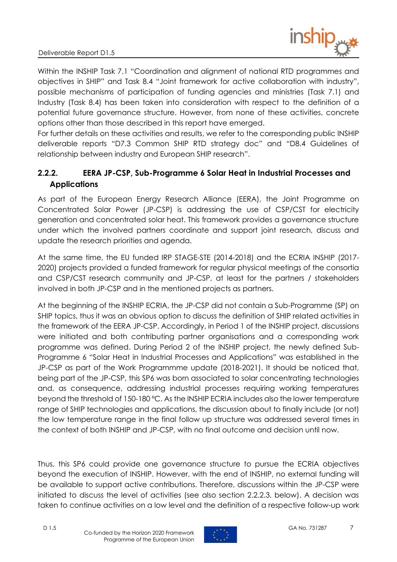

Within the INSHIP Task 7.1 "Coordination and alignment of national RTD programmes and objectives in SHIP" and Task 8.4 "Joint framework for active collaboration with industry", possible mechanisms of participation of funding agencies and ministries (Task 7.1) and Industry (Task 8.4) has been taken into consideration with respect to the definition of a potential future governance structure. However, from none of these activities, concrete options other than those described in this report have emerged.

For further details on these activities and results, we refer to the corresponding public INSHIP deliverable reports "D7.3 Common SHIP RTD strategy doc" and "D8.4 Guidelines of relationship between industry and European SHIP research".

## <span id="page-6-0"></span>**2.2.2. EERA JP-CSP, Sub-Programme 6 Solar Heat in Industrial Processes and Applications**

As part of the European Energy Research Alliance (EERA), the Joint Programme on Concentrated Solar Power (JP-CSP) is addressing the use of CSP/CST for electricity generation and concentrated solar heat. This framework provides a governance structure under which the involved partners coordinate and support joint research, discuss and update the research priorities and agenda.

At the same time, the EU funded IRP STAGE-STE (2014-2018) and the ECRIA INSHIP (2017- 2020) projects provided a funded framework for regular physical meetings of the consortia and CSP/CST research community and JP-CSP, at least for the partners / stakeholders involved in both JP-CSP and in the mentioned projects as partners.

At the beginning of the INSHIP ECRIA, the JP-CSP did not contain a Sub-Programme (SP) on SHIP topics, thus it was an obvious option to discuss the definition of SHIP related activities in the framework of the EERA JP-CSP. Accordingly, in Period 1 of the INSHIP project, discussions were initiated and both contributing partner organisations and a corresponding work programme was defined. During Period 2 of the INSHIP project, the newly defined Sub-Programme 6 "Solar Heat in Industrial Processes and Applications" was established in the JP-CSP as part of the Work Programmme update (2018-2021). It should be noticed that, being part of the JP-CSP, this SP6 was born associated to solar concentrating technologies and, as consequence, addressing industrial processes requiring working temperatures beyond the threshold of 150-180 ºC. As the INSHIP ECRIA includes also the lower temperature range of SHIP technologies and applications, the discussion about to finally include (or not) the low temperature range in the final follow up structure was addressed several times in the context of both INSHIP and JP-CSP, with no final outcome and decision until now.

Thus, this SP6 could provide one governance structure to pursue the ECRIA objectives beyond the execution of INSHIP. However, with the end of INSHIP, no external funding will be available to support active contributions. Therefore, discussions within the JP-CSP were initiated to discuss the level of activities (see also section 2.2.2.3. below). A decision was taken to continue activities on a low level and the definition of a respective follow-up work

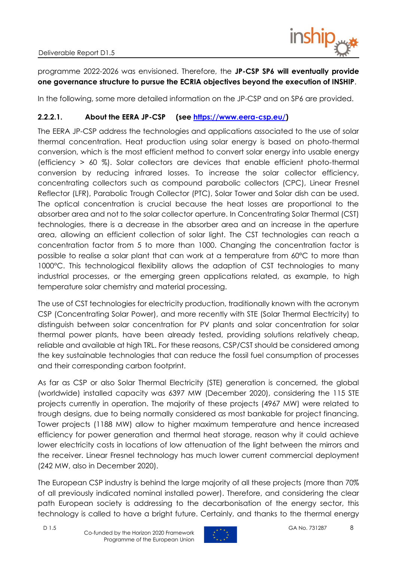

programme 2022-2026 was envisioned. Therefore, the **JP-CSP SP6 will eventually provide one governance structure to pursue the ECRIA objectives beyond the execution of INSHIP**.

In the following, some more detailed information on the JP-CSP and on SP6 are provided.

### **2.2.2.1. About the EERA JP-CSP (see [https://www.eera-csp.eu/\)](https://www.eera-csp.eu/)**

The EERA JP-CSP address the technologies and applications associated to the use of solar thermal concentration. Heat production using solar energy is based on photo-thermal conversion, which is the most efficient method to convert solar energy into usable energy (efficiency > 60 %). Solar collectors are devices that enable efficient photo-thermal conversion by reducing infrared losses. To increase the solar collector efficiency, concentrating collectors such as compound parabolic collectors (CPC), Linear Fresnel Reflector (LFR), Parabolic Trough Collector (PTC), Solar Tower and Solar dish can be used. The optical concentration is crucial because the heat losses are proportional to the absorber area and not to the solar collector aperture. In Concentrating Solar Thermal (CST) technologies, there is a decrease in the absorber area and an increase in the aperture area, allowing an efficient collection of solar light. The CST technologies can reach a concentration factor from 5 to more than 1000. Changing the concentration factor is possible to realise a solar plant that can work at a temperature from 60°C to more than 1000°C. This technological flexibility allows the adaption of CST technologies to many industrial processes, or the emerging green applications related, as example, to high temperature solar chemistry and material processing.

The use of CST technologies for electricity production, traditionally known with the acronym CSP (Concentrating Solar Power), and more recently with STE (Solar Thermal Electricity) to distinguish between solar concentration for PV plants and solar concentration for solar thermal power plants, have been already tested, providing solutions relatively cheap, reliable and available at high TRL. For these reasons, CSP/CST should be considered among the key sustainable technologies that can reduce the fossil fuel consumption of processes and their corresponding carbon footprint.

As far as CSP or also Solar Thermal Electricity (STE) generation is concerned, the global (worldwide) installed capacity was 6397 MW (December 2020), considering the 115 STE projects currently in operation. The majority of these projects (4967 MW) were related to trough designs, due to being normally considered as most bankable for project financing. Tower projects (1188 MW) allow to higher maximum temperature and hence increased efficiency for power generation and thermal heat storage, reason why it could achieve lower electricity costs in locations of low attenuation of the light between the mirrors and the receiver. Linear Fresnel technology has much lower current commercial deployment (242 MW, also in December 2020).

The European CSP industry is behind the large majority of all these projects (more than 70% of all previously indicated nominal installed power). Therefore, and considering the clear path European society is addressing to the decarbonisation of the energy sector, this technology is called to have a bright future. Certainly, and thanks to the thermal energy

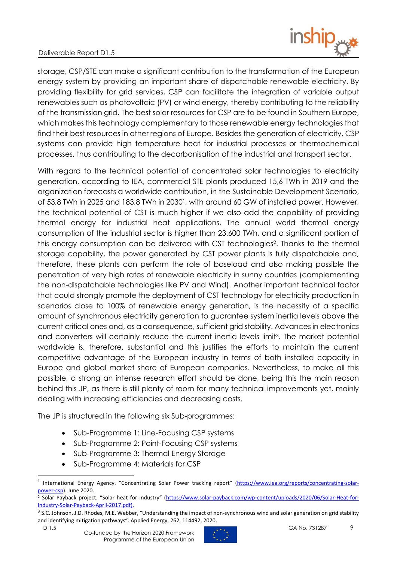

storage, CSP/STE can make a significant contribution to the transformation of the European energy system by providing an important share of dispatchable renewable electricity. By providing flexibility for grid services, CSP can facilitate the integration of variable output renewables such as photovoltaic (PV) or wind energy, thereby contributing to the reliability of the transmission grid. The best solar resources for CSP are to be found in Southern Europe, which makes this technology complementary to those renewable energy technologies that find their best resources in other regions of Europe. Besides the generation of electricity, CSP systems can provide high temperature heat for industrial processes or thermochemical processes, thus contributing to the decarbonisation of the industrial and transport sector.

With regard to the technical potential of concentrated solar technologies to electricity generation, according to IEA, commercial STE plants produced 15,6 TWh in 2019 and the organization forecasts a worldwide contribution, in the Sustainable Development Scenario, of 53,8 TWh in 2025 and 183,8 TWh in 2030<sup>1</sup>, with around 60 GW of installed power. However, the technical potential of CST is much higher if we also add the capability of providing thermal energy for industrial heat applications. The annual world thermal energy consumption of the industrial sector is higher than 23.600 TWh, and a significant portion of this energy consumption can be delivered with CST technologies<sup>2</sup>. Thanks to the thermal storage capability, the power generated by CST power plants is fully dispatchable and, therefore, these plants can perform the role of baseload and also making possible the penetration of very high rates of renewable electricity in sunny countries (complementing the non-dispatchable technologies like PV and Wind). Another important technical factor that could strongly promote the deployment of CST technology for electricity production in scenarios close to 100% of renewable energy generation, is the necessity of a specific amount of synchronous electricity generation to guarantee system inertia levels above the current critical ones and, as a consequence, sufficient grid stability. Advances in electronics and converters will certainly reduce the current inertia levels limit<sup>3</sup>. The market potential worldwide is, therefore, substantial and this justifies the efforts to maintain the current competitive advantage of the European industry in terms of both installed capacity in Europe and global market share of European companies. Nevertheless, to make all this possible, a strong an intense research effort should be done, being this the main reason behind this JP, as there is still plenty of room for many technical improvements yet, mainly dealing with increasing efficiencies and decreasing costs.

The JP is structured in the following six Sub-programmes:

- Sub-Programme 1: Line-Focusing CSP systems
- Sub-Programme 2: Point-Focusing CSP systems
- Sub-Programme 3: Thermal Energy Storage
- Sub-Programme 4: Materials for CSP



<sup>&</sup>lt;sup>1</sup> International Energy Agency. "Concentrating Solar Power tracking report" (https://www.iea.org/reports/concentrating-solarpower-csp). June 2020.

<sup>2</sup> Solar Payback project. "Solar heat for industry" ([https://www.solar-payback.com/wp-content/uploads/2020/06/Solar-Heat-for-](https://www.solar-payback.com/wp-content/uploads/2020/06/Solar-Heat-for-Industry-Solar-Payback-April-2017.pdf)[Industry-Solar-Payback-April-2017.pdf\)](https://www.solar-payback.com/wp-content/uploads/2020/06/Solar-Heat-for-Industry-Solar-Payback-April-2017.pdf).

<sup>&</sup>lt;sup>3</sup> [S.C. Johnson, J.D. Rhodes, M.E. Webber](https://www.sciencedirect.com/science/article/pii/S0306261920300040#!), "Understanding the impact of non-synchronous wind and solar generation on grid stability and identifying mitigation pathways". Applied Energy, 262, 114492, 2020.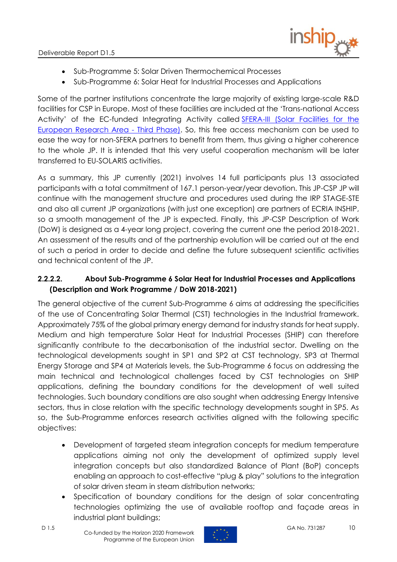

- Sub-Programme 5: Solar Driven Thermochemical Processes
- Sub-Programme 6: Solar Heat for Industrial Processes and Applications

Some of the partner institutions concentrate the large majority of existing large-scale R&D facilities for CSP in Europe. Most of these facilities are included at the 'Trans-national Access Activity' of the EC-funded Integrating Activity called [SFERA-III \(Solar Facilities for the](https://sfera3.sollab.eu/)  [European Research Area -](https://sfera3.sollab.eu/) Third Phase). So, this free access mechanism can be used to ease the way for non-SFERA partners to benefit from them, thus giving a higher coherence to the whole JP. It is intended that this very useful cooperation mechanism will be later transferred to EU-SOLARIS activities.

As a summary, this JP currently (2021) involves 14 full participants plus 13 associated participants with a total commitment of 167.1 person-year/year devotion. This JP-CSP JP will continue with the management structure and procedures used during the IRP STAGE-STE and also all current JP organizations (with just one exception) are partners of ECRIA INSHIP, so a smooth management of the JP is expected. Finally, this JP-CSP Description of Work (DoW) is designed as a 4-year long project, covering the current one the period 2018-2021. An assessment of the results and of the partnership evolution will be carried out at the end of such a period in order to decide and define the future subsequent scientific activities and technical content of the JP.

### **2.2.2.2. About Sub-Programme 6 Solar Heat for Industrial Processes and Applications (Description and Work Programme / DoW 2018-2021)**

The general objective of the current Sub-Programme 6 aims at addressing the specificities of the use of Concentrating Solar Thermal (CST) technologies in the Industrial framework. Approximately 75% of the global primary energy demand for industry stands for heat supply. Medium and high temperature Solar Heat for Industrial Processes (SHIP) can therefore significantly contribute to the decarbonisation of the industrial sector. Dwelling on the technological developments sought in SP1 and SP2 at CST technology, SP3 at Thermal Energy Storage and SP4 at Materials levels, the Sub-Programme 6 focus on addressing the main technical and technological challenges faced by CST technologies on SHIP applications, defining the boundary conditions for the development of well suited technologies. Such boundary conditions are also sought when addressing Energy Intensive sectors, thus in close relation with the specific technology developments sought in SP5. As so, the Sub-Programme enforces research activities aligned with the following specific objectives:

- Development of targeted steam integration concepts for medium temperature applications aiming not only the development of optimized supply level integration concepts but also standardized Balance of Plant (BoP) concepts enabling an approach to cost-effective "plug & play" solutions to the integration of solar driven steam in steam distribution networks;
- Specification of boundary conditions for the design of solar concentrating technologies optimizing the use of available rooftop and façade areas in industrial plant buildings;

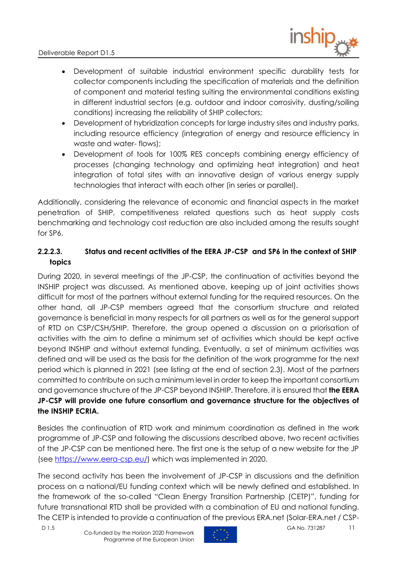

- Development of suitable industrial environment specific durability tests for collector components including the specification of materials and the definition of component and material testing suiting the environmental conditions existing in different industrial sectors (e.g. outdoor and indoor corrosivity, dusting/soiling conditions) increasing the reliability of SHIP collectors;
- Development of hybridization concepts for large industry sites and industry parks, including resource efficiency (integration of energy and resource efficiency in waste and water- flows);
- Development of tools for 100% RES concepts combining energy efficiency of processes (changing technology and optimizing heat integration) and heat integration of total sites with an innovative design of various energy supply technologies that interact with each other (in series or parallel).

Additionally, considering the relevance of economic and financial aspects in the market penetration of SHIP, competitiveness related questions such as heat supply costs benchmarking and technology cost reduction are also included among the results sought for SP6.

## **2.2.2.3. Status and recent activities of the EERA JP-CSP and SP6 in the context of SHIP topics**

During 2020, in several meetings of the JP-CSP, the continuation of activities beyond the INSHIP project was discussed. As mentioned above, keeping up of joint activities shows difficult for most of the partners without external funding for the required resources. On the other hand, all JP-CSP members agreed that the consortium structure and related governance is beneficial in many respects for all partners as well as for the general support of RTD on CSP/CSH/SHIP. Therefore, the group opened a discussion on a priorisation of activities with the aim to define a minimum set of activities which should be kept active beyond INSHIP and without external funding. Eventually, a set of minimum activities was defined and will be used as the basis for the definition of the work programme for the next period which is planned in 2021 (see listing at the end of section 2.3). Most of the partners committed to contribute on such a minimum level in order to keep the important consortium and governance structure of the JP-CSP beyond INSHIP. Therefore, it is ensured that **the EERA JP-CSP will provide one future consortium and governance structure for the objectives of the INSHIP ECRIA.**

Besides the continuation of RTD work and minimum coordination as defined in the work programme of JP-CSP and following the discussions described above, two recent activities of the JP-CSP can be mentioned here. The first one is the setup of a new website for the JP (see [https://www.eera-csp.eu/\)](https://www.eera-csp.eu/) which was implemented in 2020.

The second activity has been the involvement of JP-CSP in discussions and the definition process on a national/EU funding context which will be newly defined and established. In the framework of the so-called "Clean Energy Transition Partnership (CETP)", funding for future transnational RTD shall be provided with a combination of EU and national funding. The CETP is intended to provide a continuation of the previous ERA.net (Solar-ERA.net / CSP-

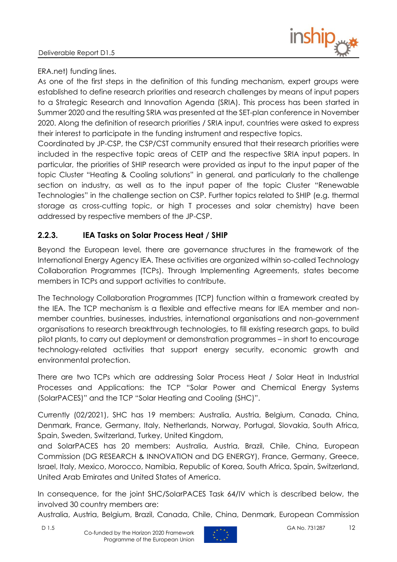

#### ERA.net) funding lines.

As one of the first steps in the definition of this funding mechanism, expert groups were established to define research priorities and research challenges by means of input papers to a Strategic Research and Innovation Agenda (SRIA). This process has been started in Summer 2020 and the resulting SRIA was presented at the SET-plan conference in November 2020. Along the definition of research priorities / SRIA input, countries were asked to express their interest to participate in the funding instrument and respective topics.

Coordinated by JP-CSP, the CSP/CST community ensured that their research priorities were included in the respective topic areas of CETP and the respective SRIA input papers. In particular, the priorities of SHIP research were provided as input to the input paper of the topic Cluster "Heating & Cooling solutions" in general, and particularly to the challenge section on industry, as well as to the input paper of the topic Cluster "Renewable Technologies" in the challenge section on CSP. Further topics related to SHIP (e.g. thermal storage as cross-cutting topic, or high T processes and solar chemistry) have been addressed by respective members of the JP-CSP.

## <span id="page-11-0"></span>**2.2.3. IEA Tasks on Solar Process Heat / SHIP**

Beyond the European level, there are governance structures in the framework of the International Energy Agency IEA. These activities are organized within so-called Technology Collaboration Programmes (TCPs). Through Implementing Agreements, states become members in TCPs and support activities to contribute.

The Technology Collaboration Programmes (TCP) function within a framework created by the IEA. The TCP mechanism is a flexible and effective means for IEA member and nonmember countries, businesses, industries, international organisations and non-government organisations to research breakthrough technologies, to fill existing research gaps, to build pilot plants, to carry out deployment or demonstration programmes – in short to encourage technology-related activities that support energy security, economic growth and environmental protection.

There are two TCPs which are addressing Solar Process Heat / Solar Heat in Industrial Processes and Applications: the TCP "Solar Power and Chemical Energy Systems (SolarPACES)" and the TCP "Solar Heating and Cooling (SHC)".

Currently (02/2021), SHC has 19 members: Australia, Austria, Belgium, Canada, China, Denmark, France, Germany, Italy, Netherlands, Norway, Portugal, Slovakia, South Africa, Spain, Sweden, Switzerland, Turkey, United Kingdom,

and SolarPACES has 20 members: Australia, Austria, Brazil, Chile, China, European Commission (DG RESEARCH & INNOVATION and DG ENERGY), France, Germany, Greece, Israel, Italy, Mexico, Morocco, Namibia, Republic of Korea, South Africa, Spain, Switzerland, United Arab Emirates and United States of America.

In consequence, for the joint SHC/SolarPACES Task 64/IV which is described below, the involved 30 country members are:

Australia, Austria, Belgium, Brazil, Canada, Chile, China, Denmark, European Commission

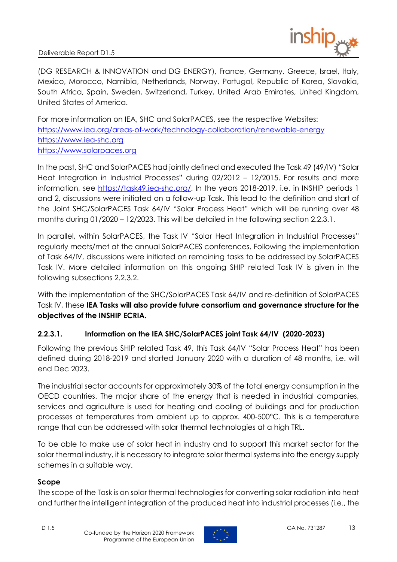

(DG RESEARCH & INNOVATION and DG ENERGY), France, Germany, Greece, Israel, Italy, Mexico, Morocco, Namibia, Netherlands, Norway, Portugal, Republic of Korea, Slovakia, South Africa, Spain, Sweden, Switzerland, Turkey, United Arab Emirates, United Kingdom, United States of America.

For more information on IEA, SHC and SolarPACES, see the respective Websites: <https://www.iea.org/areas-of-work/technology-collaboration/renewable-energy> [https://www.iea-shc.org](https://www.iea-shc.org/) [https://www.solarpaces.org](https://www.solarpaces.org/)

In the past, SHC and SolarPACES had jointly defined and executed the Task 49 (49/IV) "Solar Heat Integration in Industrial Processes" during 02/2012 – 12/2015. For results and more information, see [https://task49.iea-shc.org/.](https://task49.iea-shc.org/) In the years 2018-2019, i.e. in INSHIP periods 1 and 2, discussions were initiated on a follow-up Task. This lead to the definition and start of the Joint SHC/SolarPACES Task 64/IV "Solar Process Heat" which will be running over 48 months during 01/2020 – 12/2023. This will be detailed in the following section 2.2.3.1.

In parallel, within SolarPACES, the Task IV "Solar Heat Integration in Industrial Processes" regularly meets/met at the annual SolarPACES conferences. Following the implementation of Task 64/IV, discussions were initiated on remaining tasks to be addressed by SolarPACES Task IV. More detailed information on this ongoing SHIP related Task IV is given in the following subsections 2.2.3.2.

With the implementation of the SHC/SolarPACES Task 64/IV and re-definition of SolarPACES Task IV, these **IEA Tasks will also provide future consortium and governance structure for the objectives of the INSHIP ECRIA.**

### **2.2.3.1. Information on the IEA SHC/SolarPACES joint Task 64/IV (2020-2023)**

Following the previous SHIP related Task 49, this Task 64/IV "Solar Process Heat" has been defined during 2018-2019 and started January 2020 with a duration of 48 months, i.e. will end Dec 2023.

The industrial sector accounts for approximately 30% of the total energy consumption in the OECD countries. The major share of the energy that is needed in industrial companies, services and agriculture is used for heating and cooling of buildings and for production processes at temperatures from ambient up to approx. 400-500°C. This is a temperature range that can be addressed with solar thermal technologies at a high TRL.

To be able to make use of solar heat in industry and to support this market sector for the solar thermal industry, it is necessary to integrate solar thermal systems into the energy supply schemes in a suitable way.

#### **Scope**

The scope of the Task is on solar thermal technologies for converting solar radiation into heat and further the intelligent integration of the produced heat into industrial processes (i.e., the

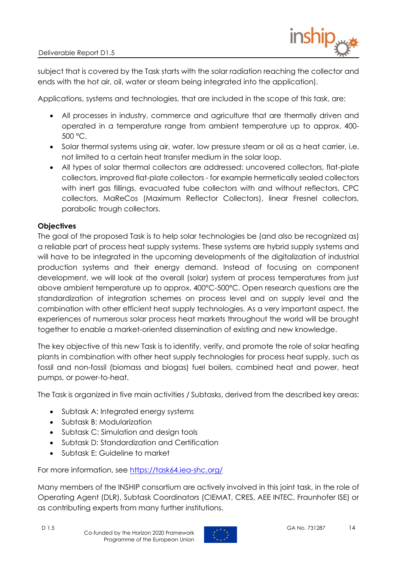

subject that is covered by the Task starts with the solar radiation reaching the collector and ends with the hot air, oil, water or steam being integrated into the application).

Applications, systems and technologies, that are included in the scope of this task, are:

- All processes in industry, commerce and agriculture that are thermally driven and operated in a temperature range from ambient temperature up to approx. 400-  $500 °C$ .
- Solar thermal systems using air, water, low pressure steam or oil as a heat carrier, i.e. not limited to a certain heat transfer medium in the solar loop.
- All types of solar thermal collectors are addressed: uncovered collectors, flat-plate collectors, improved flat-plate collectors - for example hermetically sealed collectors with inert aas fillings, evacuated tube collectors with and without reflectors, CPC collectors, MaReCos (Maximum Reflector Collectors), linear Fresnel collectors, parabolic trough collectors.

#### **Objectives**

The goal of the proposed Task is to help solar technologies be (and also be recognized as) a reliable part of process heat supply systems. These systems are hybrid supply systems and will have to be integrated in the upcoming developments of the digitalization of industrial production systems and their energy demand. Instead of focusing on component development, we will look at the overall (solar) system at process temperatures from just above ambient temperature up to approx. 400°C-500°C. Open research questions are the standardization of integration schemes on process level and on supply level and the combination with other efficient heat supply technologies. As a very important aspect, the experiences of numerous solar process heat markets throughout the world will be brought together to enable a market-oriented dissemination of existing and new knowledge.

The key objective of this new Task is to identify, verify, and promote the role of solar heating plants in combination with other heat supply technologies for process heat supply, such as fossil and non-fossil (biomass and biogas) fuel boilers, combined heat and power, heat pumps, or power-to-heat.

The Task is organized in five main activities / Subtasks, derived from the described key areas:

- Subtask A: Integrated energy systems
- Subtask B: Modularization
- Subtask C: Simulation and design tools
- Subtask D: Standardization and Certification
- Subtask E: Guideline to market

For more information, see<https://task64.iea-shc.org/>

Many members of the INSHIP consortium are actively involved in this joint task, in the role of Operating Agent (DLR), Subtask Coordinators (CIEMAT, CRES, AEE INTEC, Fraunhofer ISE) or as contributing experts from many further institutions.

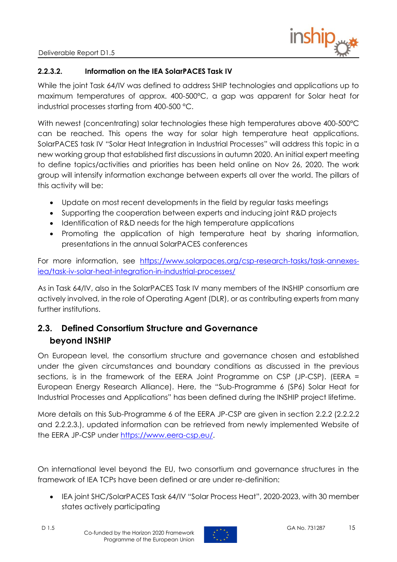

#### **2.2.3.2. Information on the IEA SolarPACES Task IV**

While the joint Task 64/IV was defined to address SHIP technologies and applications up to maximum temperatures of approx. 400-500°C, a gap was apparent for Solar heat for industrial processes starting from 400-500 °C.

With newest (concentrating) solar technologies these high temperatures above 400-500°C can be reached. This opens the way for solar high temperature heat applications. SolarPACES task IV "Solar Heat Integration in Industrial Processes" will address this topic in a new working group that established first discussions in autumn 2020. An initial expert meeting to define topics/activities and priorities has been held online on Nov 26, 2020. The work group will intensify information exchange between experts all over the world. The pillars of this activity will be:

- Update on most recent developments in the field by regular tasks meetings
- Supporting the cooperation between experts and inducing joint R&D projects
- Identification of R&D needs for the high temperature applications
- Promoting the application of high temperature heat by sharing information, presentations in the annual SolarPACES conferences

For more information, see [https://www.solarpaces.org/csp-research-tasks/task-annexes](https://www.solarpaces.org/csp-research-tasks/task-annexes-iea/task-iv-solar-heat-integration-in-industrial-processes/)[iea/task-iv-solar-heat-integration-in-industrial-processes/](https://www.solarpaces.org/csp-research-tasks/task-annexes-iea/task-iv-solar-heat-integration-in-industrial-processes/)

As in Task 64/IV, also in the SolarPACES Task IV many members of the INSHIP consortium are actively involved, in the role of Operating Agent (DLR), or as contributing experts from many further institutions.

## <span id="page-14-0"></span>**2.3. Defined Consortium Structure and Governance beyond INSHIP**

On European level, the consortium structure and governance chosen and established under the given circumstances and boundary conditions as discussed in the previous sections, is in the framework of the EERA Joint Programme on CSP (JP-CSP). (EERA = European Energy Research Alliance). Here, the "Sub-Programme 6 (SP6) Solar Heat for Industrial Processes and Applications" has been defined during the INSHIP project lifetime.

More details on this Sub-Programme 6 of the EERA JP-CSP are given in section 2.2.2 (2.2.2.2 and 2.2.2.3.), updated information can be retrieved from newly implemented Website of the EERA JP-CSP under [https://www.eera-csp.eu/.](https://www.eera-csp.eu/)

On international level beyond the EU, two consortium and governance structures in the framework of IEA TCPs have been defined or are under re-definition:

• IEA joint SHC/SolarPACES Task 64/IV "Solar Process Heat", 2020-2023, with 30 member states actively participating

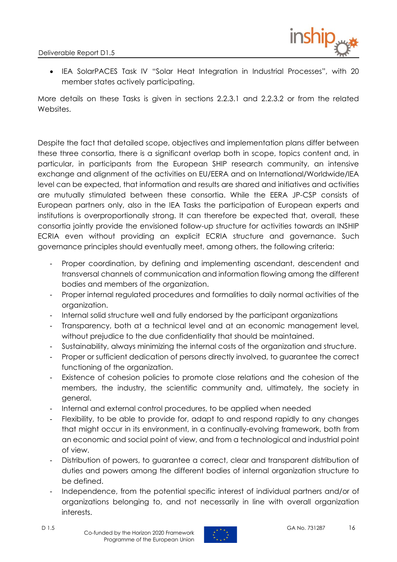

• IEA SolarPACES Task IV "Solar Heat Integration in Industrial Processes", with 20 member states actively participating.

More details on these Tasks is given in sections 2.2.3.1 and 2.2.3.2 or from the related Websites.

Despite the fact that detailed scope, objectives and implementation plans differ between these three consortia, there is a significant overlap both in scope, topics content and, in particular, in participants from the European SHIP research community, an intensive exchange and alignment of the activities on EU/EERA and on International/Worldwide/IEA level can be expected, that information and results are shared and initiatives and activities are mutually stimulated between these consortia. While the EERA JP-CSP consists of European partners only, also in the IEA Tasks the participation of European experts and institutions is overproportionally strong. It can therefore be expected that, overall, these consortia jointly provide the envisioned follow-up structure for activities towards an INSHIP ECRIA even without providing an explicit ECRIA structure and governance. Such governance principles should eventually meet, among others, the following criteria:

- Proper coordination, by defining and implementing ascendant, descendent and transversal channels of communication and information flowing among the different bodies and members of the organization.
- Proper internal regulated procedures and formalities to daily normal activities of the organization.
- Internal solid structure well and fully endorsed by the participant organizations
- Transparency, both at a technical level and at an economic management level, without prejudice to the due confidentiality that should be maintained.
- Sustainability, always minimizing the internal costs of the organization and structure.
- Proper or sufficient dedication of persons directly involved, to guarantee the correct functioning of the organization.
- Existence of cohesion policies to promote close relations and the cohesion of the members, the industry, the scientific community and, ultimately, the society in general.
- Internal and external control procedures, to be applied when needed
- Flexibility, to be able to provide for, adapt to and respond rapidly to any changes that might occur in its environment, in a continually-evolving framework, both from an economic and social point of view, and from a technological and industrial point of view.
- Distribution of powers, to guarantee a correct, clear and transparent distribution of duties and powers among the different bodies of internal organization structure to be defined.
- Independence, from the potential specific interest of individual partners and/or of organizations belonging to, and not necessarily in line with overall organization interests.

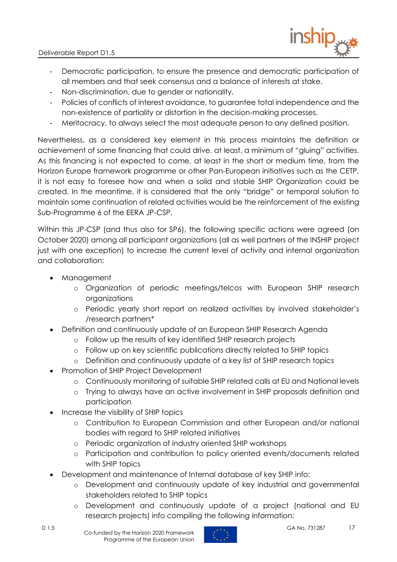

- Democratic participation, to ensure the presence and democratic participation of all members and that seek consensus and a balance of interests at stake.
- Non-discrimination, due to gender or nationality.
- Policies of conflicts of interest avoidance, to guarantee total independence and the non-existence of partiality or distortion in the decision-making processes.
- Meritocracy, to always select the most adequate person to any defined position.

Nevertheless, as a considered key element in this process maintains the definition or achievement of some financing that could drive, at least, a minimum of "gluing" activities. As this financing is not expected to come, at least in the short or medium time, from the Horizon Europe framework programme or other Pan-European initiatives such as the CETP, it is not easy to foresee how and when a solid and stable SHIP Organization could be created. In the meantime, it is considered that the only "bridge" or temporal solution to maintain some continuation of related activities would be the reinforcement of the existing Sub-Programme 6 of the EERA JP-CSP.

Within this JP-CSP (and thus also for SP6), the following specific actions were agreed (on October 2020) among all participant organizations (all as well partners of the INSHIP project just with one exception) to increase the current level of activity and internal organization and collaboration:

- Management
	- o Organization of periodic meetings/telcos with European SHIP research organizations
	- o Periodic yearly short report on realized activities by involved stakeholder's /research partners\*
- Definition and continuously update of an European SHIP Research Agenda
	- o Follow up the results of key identified SHIP research projects
	- o Follow up on key scientific publications directly related to SHIP topics
	- o Definition and continuously update of a key list of SHIP research topics
- Promotion of SHIP Project Development
	- o Continuously monitoring of suitable SHIP related calls at EU and National levels
	- o Trying to always have an active involvement in SHIP proposals definition and participation
- Increase the visibility of SHIP topics
	- o Contribution to European Commission and other European and/or national bodies with regard to SHIP related initiatives
	- o Periodic organization of industry oriented SHIP workshops
	- o Participation and contribution to policy oriented events/documents related with SHIP topics
- Development and maintenance of Internal database of key SHIP info:
	- o Development and continuously update of key industrial and governmental stakeholders related to SHIP topics
	- o Development and continuously update of a project (national and EU research projects) info compiling the following information:

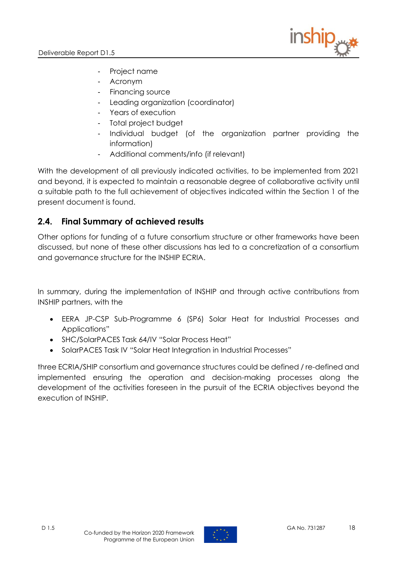

- Project name
- Acronym
- Financing source
- Leading organization (coordinator)
- Years of execution
- Total project budget
- Individual budget (of the organization partner providing the information)
- <span id="page-17-0"></span>- Additional comments/info (if relevant)

With the development of all previously indicated activities, to be implemented from 2021 and beyond, it is expected to maintain a reasonable degree of collaborative activity until a suitable path to the full achievement of objectives indicated within the Section 1 of the present document is found.

## **2.4. Final Summary of achieved results**

Other options for funding of a future consortium structure or other frameworks have been discussed, but none of these other discussions has led to a concretization of a consortium and governance structure for the INSHIP ECRIA.

In summary, during the implementation of INSHIP and through active contributions from INSHIP partners, with the

- EERA JP-CSP Sub-Programme 6 (SP6) Solar Heat for Industrial Processes and Applications"
- SHC/SolarPACES Task 64/IV "Solar Process Heat"
- SolarPACES Task IV "Solar Heat Integration in Industrial Processes"

three ECRIA/SHIP consortium and governance structures could be defined / re-defined and implemented ensuring the operation and decision-making processes along the development of the activities foreseen in the pursuit of the ECRIA objectives beyond the execution of INSHIP.